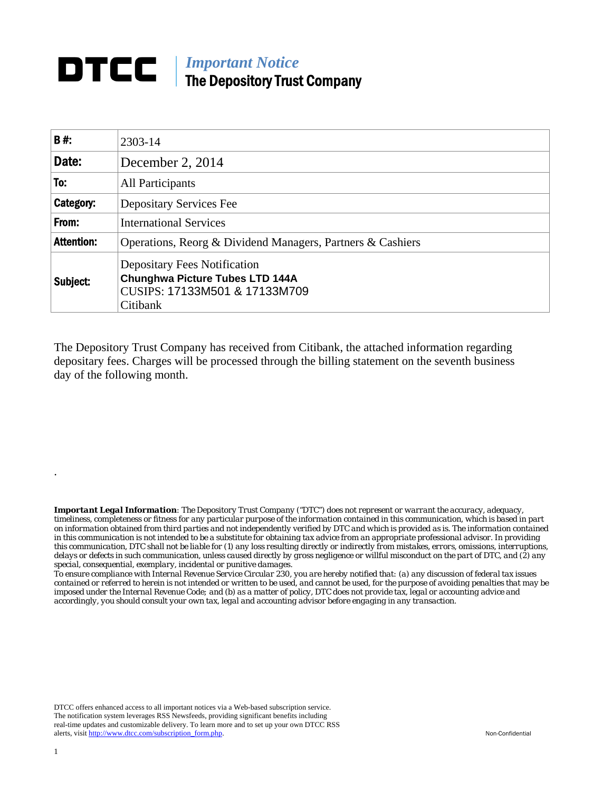## **DTCC** | *Important Notice* The Depository Trust Company

| <b>B#:</b>        | 2303-14                                                                                                             |
|-------------------|---------------------------------------------------------------------------------------------------------------------|
| Date:             | December 2, 2014                                                                                                    |
| To:               | All Participants                                                                                                    |
| Category:         | <b>Depositary Services Fee</b>                                                                                      |
| From:             | <b>International Services</b>                                                                                       |
| <b>Attention:</b> | Operations, Reorg & Dividend Managers, Partners & Cashiers                                                          |
| Subject:          | Depositary Fees Notification<br><b>Chunghwa Picture Tubes LTD 144A</b><br>CUSIPS: 17133M501 & 17133M709<br>Citibank |

The Depository Trust Company has received from Citibank, the attached information regarding depositary fees. Charges will be processed through the billing statement on the seventh business day of the following month.

*Important Legal Information: The Depository Trust Company ("DTC") does not represent or warrant the accuracy, adequacy, timeliness, completeness or fitness for any particular purpose of the information contained in this communication, which is based in part on information obtained from third parties and not independently verified by DTC and which is provided as is. The information contained in this communication is not intended to be a substitute for obtaining tax advice from an appropriate professional advisor. In providing this communication, DTC shall not be liable for (1) any loss resulting directly or indirectly from mistakes, errors, omissions, interruptions, delays or defects in such communication, unless caused directly by gross negligence or willful misconduct on the part of DTC, and (2) any special, consequential, exemplary, incidental or punitive damages.* 

*To ensure compliance with Internal Revenue Service Circular 230, you are hereby notified that: (a) any discussion of federal tax issues contained or referred to herein is not intended or written to be used, and cannot be used, for the purpose of avoiding penalties that may be imposed under the Internal Revenue Code; and (b) as a matter of policy, DTC does not provide tax, legal or accounting advice and accordingly, you should consult your own tax, legal and accounting advisor before engaging in any transaction.*

DTCC offers enhanced access to all important notices via a Web-based subscription service. The notification system leverages RSS Newsfeeds, providing significant benefits including real-time updates and customizable delivery. To learn more and to set up your own DTCC RSS alerts, visit http://www.dtcc.com/subscription\_form.php. Non-Confidential

.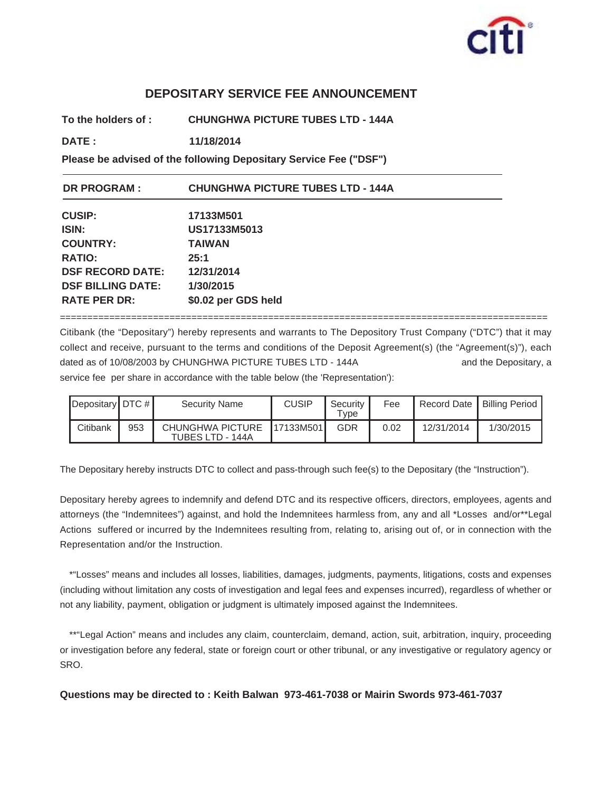

## **DEPOSITARY SERVICE FEE ANNOUNCEMENT**

**To the holders of : CHUNGHWA PICTURE TUBES LTD - 144A**

**DATE : 11/18/2014 11/18/2014**

**Please be advised of the following Depositary Service Fee ("DSF")**

| <b>DR PROGRAM:</b>       | <b>CHUNGHWA PICTURE TUBES LTD - 144A</b> |
|--------------------------|------------------------------------------|
| <b>CUSIP:</b>            | 17133M501                                |
| <b>ISIN:</b>             | US17133M5013                             |
| <b>COUNTRY:</b>          | <b>TAIWAN</b>                            |
| <b>RATIO:</b>            | 25:1                                     |
| <b>DSF RECORD DATE:</b>  | 12/31/2014                               |
| <b>DSF BILLING DATE:</b> | 1/30/2015                                |
| <b>RATE PER DR:</b>      | \$0.02 per GDS held                      |

Citibank (the "Depositary") hereby represents and warrants to The Depository Trust Company ("DTC") that it may collect and receive, pursuant to the terms and conditions of the Deposit Agreement(s) (the "Agreement(s)"), each dated as of 10/08/2003 by CHUNGHWA PICTURE TUBES LTD - 144A and the Depositary, a service fee per share in accordance with the table below (the 'Representation'):

=========================================================================================

| Depositary DTC $#$ |     | <b>Security Name</b>                 | <b>CUSIP</b> | Security<br>Type | Fee  | Record Date   Billing Period |           |
|--------------------|-----|--------------------------------------|--------------|------------------|------|------------------------------|-----------|
| Citibank           | 953 | CHUNGHWA PICTURE<br>TUBES LTD - 144A | 17133M501    | GDR              | 0.02 | 12/31/2014                   | 1/30/2015 |

The Depositary hereby instructs DTC to collect and pass-through such fee(s) to the Depositary (the "Instruction").

Depositary hereby agrees to indemnify and defend DTC and its respective officers, directors, employees, agents and attorneys (the "Indemnitees") against, and hold the Indemnitees harmless from, any and all \*Losses and/or\*\*Legal Actions suffered or incurred by the Indemnitees resulting from, relating to, arising out of, or in connection with the Representation and/or the Instruction.

\*"Losses" means and includes all losses, liabilities, damages, judgments, payments, litigations, costs and expenses (including without limitation any costs of investigation and legal fees and expenses incurred), regardless of whether or not any liability, payment, obligation or judgment is ultimately imposed against the Indemnitees.

\*\*"Legal Action" means and includes any claim, counterclaim, demand, action, suit, arbitration, inquiry, proceeding or investigation before any federal, state or foreign court or other tribunal, or any investigative or regulatory agency or SRO.

**Questions may be directed to : Keith Balwan 973-461-7038 or Mairin Swords 973-461-7037**